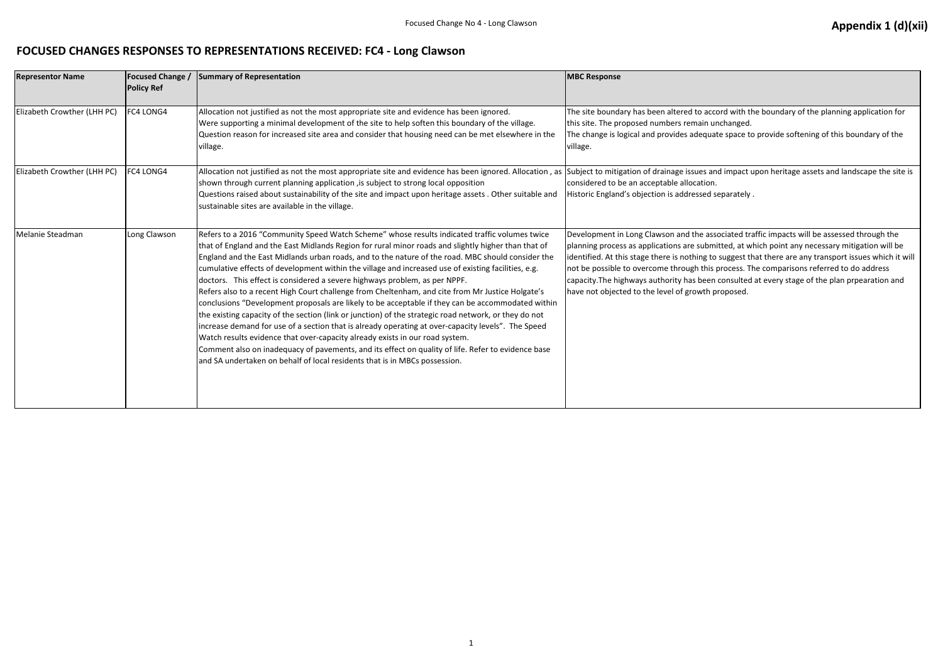## **FOCUSED CHANGES RESPONSES TO REPRESENTATIONS RECEIVED: FC4 - Long Clawson**

| <b>Representor Name</b>     | <b>Focused Change /</b><br><b>Policy Ref</b> | Summary of Representation                                                                                                                                                                                                                                                                                                                                                                                                                                                                                                                                                                                                                                                                                                                                                                                                                                                                                                                                                                                                                                                                                                                                                                  | <b>MBC Response</b>                                                                                                                                                                                                                                                          |
|-----------------------------|----------------------------------------------|--------------------------------------------------------------------------------------------------------------------------------------------------------------------------------------------------------------------------------------------------------------------------------------------------------------------------------------------------------------------------------------------------------------------------------------------------------------------------------------------------------------------------------------------------------------------------------------------------------------------------------------------------------------------------------------------------------------------------------------------------------------------------------------------------------------------------------------------------------------------------------------------------------------------------------------------------------------------------------------------------------------------------------------------------------------------------------------------------------------------------------------------------------------------------------------------|------------------------------------------------------------------------------------------------------------------------------------------------------------------------------------------------------------------------------------------------------------------------------|
| Elizabeth Crowther (LHH PC) | <b>FC4 LONG4</b>                             | Allocation not justified as not the most appropriate site and evidence has been ignored.<br>Were supporting a minimal development of the site to help soften this boundary of the village.<br>Question reason for increased site area and consider that housing need can be met elsewhere in the<br>village.                                                                                                                                                                                                                                                                                                                                                                                                                                                                                                                                                                                                                                                                                                                                                                                                                                                                               | The site boundary has been altered to acc<br>this site. The proposed numbers remain ur<br>The change is logical and provides adequa<br>village.                                                                                                                              |
| Elizabeth Crowther (LHH PC) | FC4 LONG4                                    | Allocation not justified as not the most appropriate site and evidence has been ignored. Allocation, as Subject to mitigation of drainage issues an<br>shown through current planning application, is subject to strong local opposition<br>Questions raised about sustainability of the site and impact upon heritage assets . Other suitable and<br>sustainable sites are available in the village.                                                                                                                                                                                                                                                                                                                                                                                                                                                                                                                                                                                                                                                                                                                                                                                      | considered to be an acceptable allocation.<br>Historic England's objection is addressed s                                                                                                                                                                                    |
| Melanie Steadman            | Long Clawson                                 | Refers to a 2016 "Community Speed Watch Scheme" whose results indicated traffic volumes twice<br>that of England and the East Midlands Region for rural minor roads and slightly higher than that of<br>England and the East Midlands urban roads, and to the nature of the road. MBC should consider the<br>cumulative effects of development within the village and increased use of existing facilities, e.g.<br>doctors. This effect is considered a severe highways problem, as per NPPF.<br>Refers also to a recent High Court challenge from Cheltenham, and cite from Mr Justice Holgate's<br>conclusions "Development proposals are likely to be acceptable if they can be accommodated within<br>the existing capacity of the section (link or junction) of the strategic road network, or they do not<br>increase demand for use of a section that is already operating at over-capacity levels". The Speed<br>Watch results evidence that over-capacity already exists in our road system.<br>Comment also on inadequacy of pavements, and its effect on quality of life. Refer to evidence base<br>and SA undertaken on behalf of local residents that is in MBCs possession. | Development in Long Clawson and the ass<br>planning process as applications are subm<br>identified. At this stage there is nothing to<br>not be possible to overcome through this<br>capacity. The highways authority has been<br>have not objected to the level of growth p |

ccord with the boundary of the planning application for unchanged.

uate space to provide softening of this boundary of the

and impact upon heritage assets and landscape the site is

I separately .

issociated traffic impacts will be assessed through the mitted, at which point any necessary mitigation will be to suggest that there are any transport issues which it will is process. The comparisons referred to do address en consulted at every stage of the plan prpearation and h proposed.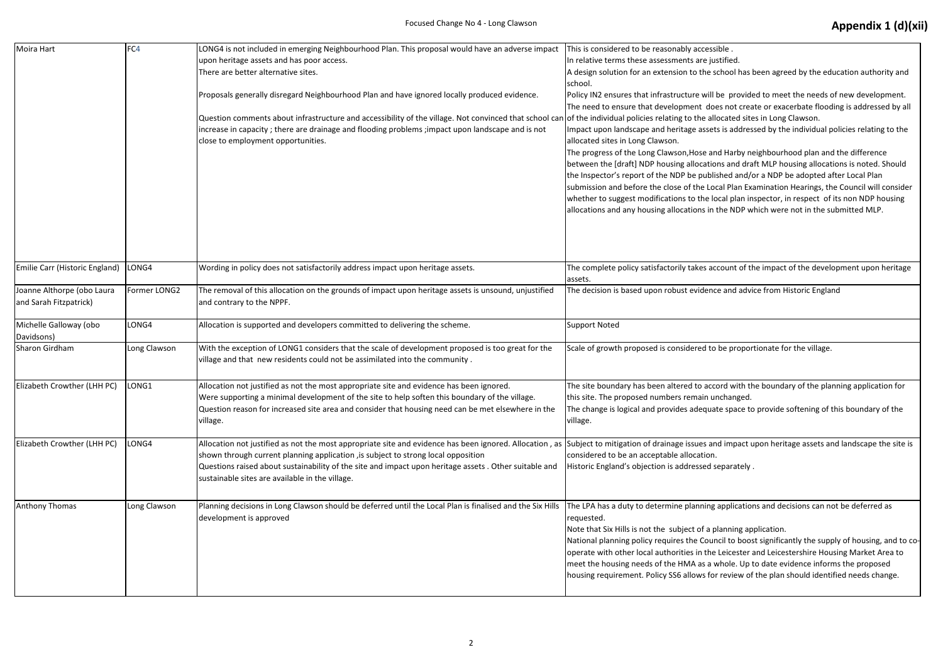| Moira Hart                                           | FC4          | LONG4 is not included in emerging Neighbourhood Plan. This proposal would have an adverse impact<br>upon heritage assets and has poor access.<br>There are better alternative sites.<br>Proposals generally disregard Neighbourhood Plan and have ignored locally produced evidence.<br>Question comments about infrastructure and accessibility of the village. Not convinced that school can of the individual policies relating to the all<br>increase in capacity; there are drainage and flooding problems; impact upon landscape and is not<br>close to employment opportunities. | This is considered to be reasonably access<br>In relative terms these assessments are ju<br>A design solution for an extension to the s<br>school.<br>Policy IN2 ensures that infrastructure will<br>The need to ensure that development do<br>Impact upon landscape and heritage asset<br>allocated sites in Long Clawson.<br>The progress of the Long Clawson, Hose ar<br>between the [draft] NDP housing allocatio<br>the Inspector's report of the NDP be publi<br>submission and before the close of the Lo<br>whether to suggest modifications to the Ic<br>allocations and any housing allocations in |
|------------------------------------------------------|--------------|-----------------------------------------------------------------------------------------------------------------------------------------------------------------------------------------------------------------------------------------------------------------------------------------------------------------------------------------------------------------------------------------------------------------------------------------------------------------------------------------------------------------------------------------------------------------------------------------|--------------------------------------------------------------------------------------------------------------------------------------------------------------------------------------------------------------------------------------------------------------------------------------------------------------------------------------------------------------------------------------------------------------------------------------------------------------------------------------------------------------------------------------------------------------------------------------------------------------|
| Emilie Carr (Historic England)                       | LONG4        | Wording in policy does not satisfactorily address impact upon heritage assets.                                                                                                                                                                                                                                                                                                                                                                                                                                                                                                          | The complete policy satisfactorily takes ac<br>assets.                                                                                                                                                                                                                                                                                                                                                                                                                                                                                                                                                       |
| Joanne Althorpe (obo Laura<br>and Sarah Fitzpatrick) | Former LONG2 | The removal of this allocation on the grounds of impact upon heritage assets is unsound, unjustified<br>and contrary to the NPPF.                                                                                                                                                                                                                                                                                                                                                                                                                                                       | The decision is based upon robust evidenc                                                                                                                                                                                                                                                                                                                                                                                                                                                                                                                                                                    |
| Michelle Galloway (obo<br>Davidsons)                 | LONG4        | Allocation is supported and developers committed to delivering the scheme.                                                                                                                                                                                                                                                                                                                                                                                                                                                                                                              | <b>Support Noted</b>                                                                                                                                                                                                                                                                                                                                                                                                                                                                                                                                                                                         |
| Sharon Girdham                                       | Long Clawson | With the exception of LONG1 considers that the scale of development proposed is too great for the<br>village and that new residents could not be assimilated into the community.                                                                                                                                                                                                                                                                                                                                                                                                        | Scale of growth proposed is considered to                                                                                                                                                                                                                                                                                                                                                                                                                                                                                                                                                                    |
| Elizabeth Crowther (LHH PC)                          | LONG1        | Allocation not justified as not the most appropriate site and evidence has been ignored.<br>Were supporting a minimal development of the site to help soften this boundary of the village.<br>Question reason for increased site area and consider that housing need can be met elsewhere in the<br>village.                                                                                                                                                                                                                                                                            | The site boundary has been altered to acc<br>this site. The proposed numbers remain ur<br>The change is logical and provides adequa<br>village.                                                                                                                                                                                                                                                                                                                                                                                                                                                              |
| Elizabeth Crowther (LHH PC)                          | LONG4        | Allocation not justified as not the most appropriate site and evidence has been ignored. Allocation, as Subject to mitigation of drainage issues an<br>shown through current planning application , is subject to strong local opposition<br>Questions raised about sustainability of the site and impact upon heritage assets . Other suitable and<br>sustainable sites are available in the village.                                                                                                                                                                                  | considered to be an acceptable allocation.<br>Historic England's objection is addressed s                                                                                                                                                                                                                                                                                                                                                                                                                                                                                                                    |
| Anthony Thomas                                       | Long Clawson | Planning decisions in Long Clawson should be deferred until the Local Plan is finalised and the Six Hills<br>development is approved                                                                                                                                                                                                                                                                                                                                                                                                                                                    | The LPA has a duty to determine planning<br>requested.<br>Note that Six Hills is not the subject of a p<br>National planning policy requires the Cour<br>operate with other local authorities in the<br>meet the housing needs of the HMA as a v<br>housing requirement. Policy SS6 allows for                                                                                                                                                                                                                                                                                                               |

 $\overline{\text{ssible}}$  .

justified.

e school has been agreed by the education authority and

ill be provided to meet the needs of new development. does not create or exacerbate flooding is addressed by all allocated sites in Long Clawson.

sets is addressed by the individual policies relating to the

and Harby neighbourhood plan and the difference tions and draft MLP housing allocations is noted. Should blished and/or a NDP be adopted after Local Plan Local Plan Examination Hearings, the Council will consider local plan inspector, in respect of its non NDP housing in the NDP which were not in the submitted MLP.

account of the impact of the development upon heritage

nce and advice from Historic England

to be proportionate for the village.

ccord with the boundary of the planning application for unchanged.

uate space to provide softening of this boundary of the

and impact upon heritage assets and landscape the site is d separately .

ng applications and decisions can not be deferred as

I planning application.

uncil to boost significantly the supply of housing, and to cohe Leicester and Leicestershire Housing Market Area to a whole. Up to date evidence informs the proposed for review of the plan should identified needs change.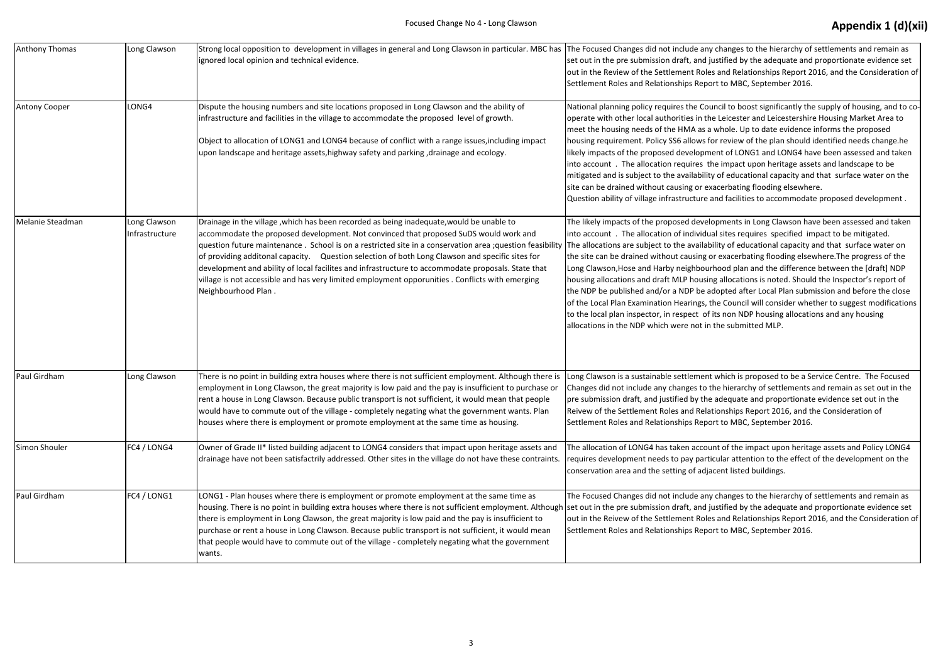| Anthony Thomas       | Long Clawson                   | Strong local opposition to development in villages in general and Long Clawson in particular. MBC has The Focused Changes did not include an<br>ignored local opinion and technical evidence.                                                                                                                                                                                                                                                                                                                                                                                                                                                                                | set out in the pre submission draft, and j<br>out in the Review of the Settlement Role<br>Settlement Roles and Relationships Repo                                                                                                                                                                                                                                                                              |
|----------------------|--------------------------------|------------------------------------------------------------------------------------------------------------------------------------------------------------------------------------------------------------------------------------------------------------------------------------------------------------------------------------------------------------------------------------------------------------------------------------------------------------------------------------------------------------------------------------------------------------------------------------------------------------------------------------------------------------------------------|----------------------------------------------------------------------------------------------------------------------------------------------------------------------------------------------------------------------------------------------------------------------------------------------------------------------------------------------------------------------------------------------------------------|
| <b>Antony Cooper</b> | LONG4                          | Dispute the housing numbers and site locations proposed in Long Clawson and the ability of<br>infrastructure and facilities in the village to accommodate the proposed level of growth.<br>Object to allocation of LONG1 and LONG4 because of conflict with a range issues, including impact<br>upon landscape and heritage assets, highway safety and parking, drainage and ecology.                                                                                                                                                                                                                                                                                        | National planning policy requires the Cor<br>operate with other local authorities in th<br>meet the housing needs of the HMA as a<br>housing requirement. Policy SS6 allows f<br>likely impacts of the proposed developm<br>into account . The allocation requires t<br>mitigated and is subject to the availabilit<br>site can be drained without causing or ex<br>Question ability of village infrastructure |
| Melanie Steadman     | Long Clawson<br>Infrastructure | Drainage in the village, which has been recorded as being inadequate, would be unable to<br>accommodate the proposed development. Not convinced that proposed SuDS would work and<br>question future maintenance. School is on a restricted site in a conservation area ;question feasibility The allocations are subject to the availak<br>of providing additonal capacity. Question selection of both Long Clawson and specific sites for<br>development and ability of local facilites and infrastructure to accommodate proposals. State that<br>village is not accessible and has very limited employment opporunities . Conflicts with emerging<br>Neighbourhood Plan. | The likely impacts of the proposed devel<br>into account . The allocation of individu<br>the site can be drained without causing of<br>Long Clawson, Hose and Harby neighbou<br>housing allocations and draft MLP housir<br>the NDP be published and/or a NDP be a<br>of the Local Plan Examination Hearings, 1<br>to the local plan inspector, in respect of<br>allocations in the NDP which were not in      |
| Paul Girdham         | Long Clawson                   | There is no point in building extra houses where there is not sufficient employment. Although there is<br>employment in Long Clawson, the great majority is low paid and the pay is insufficient to purchase or<br>rent a house in Long Clawson. Because public transport is not sufficient, it would mean that people<br>would have to commute out of the village - completely negating what the government wants. Plan<br>houses where there is employment or promote employment at the same time as housing.                                                                                                                                                              | Long Clawson is a sustainable settlement<br>Changes did not include any changes to t<br>pre submission draft, and justified by the<br>Reivew of the Settlement Roles and Rela<br>Settlement Roles and Relationships Repo                                                                                                                                                                                       |
| Simon Shouler        | FC4 / LONG4                    | Owner of Grade II* listed building adjacent to LONG4 considers that impact upon heritage assets and<br>drainage have not been satisfactrily addressed. Other sites in the village do not have these contraints.                                                                                                                                                                                                                                                                                                                                                                                                                                                              | The allocation of LONG4 has taken accou<br>requires development needs to pay part<br>conservation area and the setting of adja                                                                                                                                                                                                                                                                                 |
| Paul Girdham         | FC4 / LONG1                    | LONG1 - Plan houses where there is employment or promote employment at the same time as<br>housing. There is no point in building extra houses where there is not sufficient employment. Although set out in the pre submission draft, and j<br>there is employment in Long Clawson, the great majority is low paid and the pay is insufficient to<br>purchase or rent a house in Long Clawson. Because public transport is not sufficient, it would mean<br>that people would have to commute out of the village - completely negating what the government<br>wants.                                                                                                        | The Focused Changes did not include any<br>out in the Reivew of the Settlement Role<br>Settlement Roles and Relationships Repo                                                                                                                                                                                                                                                                                 |

y changes to the hierarchy of settlements and remain as justified by the adequate and proportionate evidence set es and Relationships Report 2016, and the Consideration of ort to MBC, September 2016.

uncil to boost significantly the supply of housing, and to cone Leicester and Leicestershire Housing Market Area to methousing the holes informs the proposed for review of the plan should identified needs change.he lent of LONG1 and LONG4 have been assessed and taken he impact upon heritage assets and landscape to be ty of educational capacity and that surface water on the xacerbating flooding elsewhere.

and facilities to accommodate proposed development .

Iopments in Long Clawson have been assessed and taken into accounted impact to be mitigated. bility of educational capacity and that surface water on or exacerbating flooding elsewhere.The progress of the rhood plan and the difference between the [draft] NDP ng allocations is noted. Should the Inspector's report of adopted after Local Plan submission and before the close the Council will consider whether to suggest modifications its non NDP housing allocations and any housing the submitted MLP.

t which is proposed to be a Service Centre. The Focused the hierarchy of settlements and remain as set out in the e adequate and proportionate evidence set out in the ationships Report 2016, and the Consideration of ort to MBC, September 2016.

ant of the impact upon heritage assets and Policy LONG4 icular attention to the effect of the development on the acent listed buildings.

y changes to the hierarchy of settlements and remain as justified by the adequate and proportionate evidence set es and Relationships Report 2016, and the Consideration of ort to MBC, September 2016.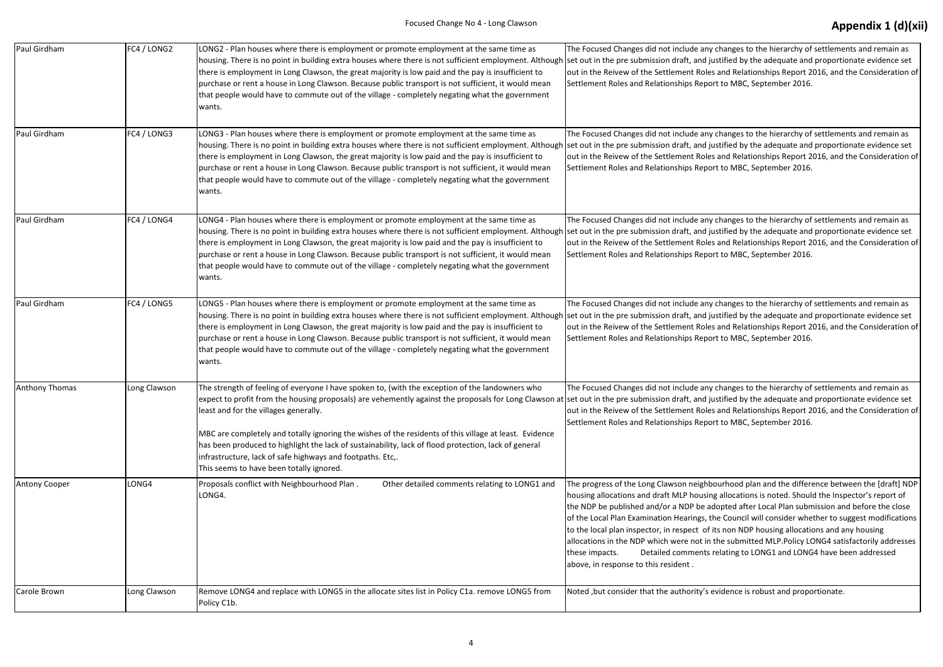| Paul Girdham   | FC4 / LONG2  | LONG2 - Plan houses where there is employment or promote employment at the same time as<br>housing. There is no point in building extra houses where there is not sufficient employment. Although set out in the pre submission draft, and j<br>there is employment in Long Clawson, the great majority is low paid and the pay is insufficient to<br>purchase or rent a house in Long Clawson. Because public transport is not sufficient, it would mean<br>that people would have to commute out of the village - completely negating what the government<br>wants.                                                    | The Focused Changes did not include any<br>out in the Reivew of the Settlement Role<br>Settlement Roles and Relationships Repo                                                                                                                                                                                                                             |
|----------------|--------------|--------------------------------------------------------------------------------------------------------------------------------------------------------------------------------------------------------------------------------------------------------------------------------------------------------------------------------------------------------------------------------------------------------------------------------------------------------------------------------------------------------------------------------------------------------------------------------------------------------------------------|------------------------------------------------------------------------------------------------------------------------------------------------------------------------------------------------------------------------------------------------------------------------------------------------------------------------------------------------------------|
| Paul Girdham   | FC4 / LONG3  | LONG3 - Plan houses where there is employment or promote employment at the same time as<br>housing. There is no point in building extra houses where there is not sufficient employment. Although set out in the pre submission draft, and j<br>there is employment in Long Clawson, the great majority is low paid and the pay is insufficient to<br>purchase or rent a house in Long Clawson. Because public transport is not sufficient, it would mean<br>that people would have to commute out of the village - completely negating what the government<br>wants.                                                    | The Focused Changes did not include any<br>out in the Reivew of the Settlement Role<br>Settlement Roles and Relationships Repc                                                                                                                                                                                                                             |
| Paul Girdham   | FC4 / LONG4  | LONG4 - Plan houses where there is employment or promote employment at the same time as<br>housing. There is no point in building extra houses where there is not sufficient employment. Although set out in the pre submission draft, and j<br>there is employment in Long Clawson, the great majority is low paid and the pay is insufficient to<br>purchase or rent a house in Long Clawson. Because public transport is not sufficient, it would mean<br>that people would have to commute out of the village - completely negating what the government<br>wants.                                                    | The Focused Changes did not include any<br>out in the Reivew of the Settlement Role<br>Settlement Roles and Relationships Repo                                                                                                                                                                                                                             |
| Paul Girdham   | FC4 / LONG5  | LONG5 - Plan houses where there is employment or promote employment at the same time as<br>housing. There is no point in building extra houses where there is not sufficient employment. Although set out in the pre submission draft, and j<br>there is employment in Long Clawson, the great majority is low paid and the pay is insufficient to<br>purchase or rent a house in Long Clawson. Because public transport is not sufficient, it would mean<br>that people would have to commute out of the village - completely negating what the government<br>wants.                                                    | The Focused Changes did not include any<br>out in the Reivew of the Settlement Role<br>Settlement Roles and Relationships Repc                                                                                                                                                                                                                             |
| Anthony Thomas | Long Clawson | The strength of feeling of everyone I have spoken to, (with the exception of the landowners who<br>expect to profit from the housing proposals) are vehemently against the proposals for Long Clawson at set out in the pre submission draft, and j<br>least and for the villages generally.<br>MBC are completely and totally ignoring the wishes of the residents of this village at least. Evidence<br>has been produced to highlight the lack of sustainability, lack of flood protection, lack of general<br>infrastructure, lack of safe highways and footpaths. Etc,.<br>This seems to have been totally ignored. | The Focused Changes did not include any<br>out in the Reivew of the Settlement Role<br>Settlement Roles and Relationships Repc                                                                                                                                                                                                                             |
| Antony Cooper  | LONG4        | Proposals conflict with Neighbourhood Plan.<br>Other detailed comments relating to LONG1 and<br>LONG4.                                                                                                                                                                                                                                                                                                                                                                                                                                                                                                                   | The progress of the Long Clawson neighb<br>housing allocations and draft MLP housir<br>the NDP be published and/or a NDP be a<br>of the Local Plan Examination Hearings, t<br>to the local plan inspector, in respect of<br>allocations in the NDP which were not in<br><b>Detailed comments</b><br>these impacts.<br>above, in response to this resident. |
| Carole Brown   | Long Clawson | Remove LONG4 and replace with LONG5 in the allocate sites list in Policy C1a. remove LONG5 from<br>Policy C1b.                                                                                                                                                                                                                                                                                                                                                                                                                                                                                                           | Noted, but consider that the authority's                                                                                                                                                                                                                                                                                                                   |

y changes to the hierarchy of settlements and remain as justified by the adequate and proportionate evidence set es and Relationships Report 2016, and the Consideration of ort to MBC, September 2016.

y changes to the hierarchy of settlements and remain as justified by the adequate and proportionate evidence set es and Relationships Report 2016, and the Consideration of ort to MBC, September 2016.

y changes to the hierarchy of settlements and remain as justified by the adequate and proportionate evidence set es and Relationships Report 2016, and the Consideration of ort to MBC, September 2016.

y changes to the hierarchy of settlements and remain as justified by the adequate and proportionate evidence set es and Relationships Report 2016, and the Consideration of ort to MBC, September 2016.

y changes to the hierarchy of settlements and remain as justified by the adequate and proportionate evidence set es and Relationships Report 2016, and the Consideration of ort to MBC, September 2016.

bourhood plan and the difference between the [draft] NDP ng allocations is noted. Should the Inspector's report of adopted after Local Plan submission and before the close the Council will consider whether to suggest modifications its non NDP housing allocations and any housing i the submitted MLP.Policy LONG4 satisfactorily addresses these impacts. Detailed comments relating to LONG1 and LONG4 have been addressed

evidence is robust and proportionate.